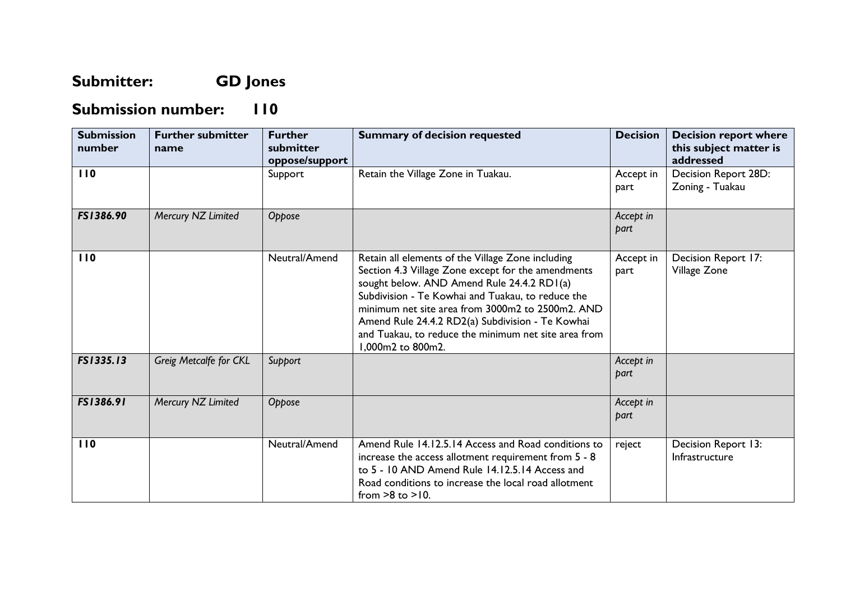## **Submitter: GD Jones**

## **Submission number: 110**

| <b>Submission</b><br>number | <b>Further submitter</b><br>name | <b>Further</b><br>submitter<br>oppose/support | <b>Summary of decision requested</b>                                                                                                                                                                                                                                                                                                                                                            | <b>Decision</b>   | <b>Decision report where</b><br>this subject matter is<br>addressed |
|-----------------------------|----------------------------------|-----------------------------------------------|-------------------------------------------------------------------------------------------------------------------------------------------------------------------------------------------------------------------------------------------------------------------------------------------------------------------------------------------------------------------------------------------------|-------------------|---------------------------------------------------------------------|
| 110                         |                                  | Support                                       | Retain the Village Zone in Tuakau.                                                                                                                                                                                                                                                                                                                                                              | Accept in<br>part | Decision Report 28D:<br>Zoning - Tuakau                             |
| FS1386.90                   | Mercury NZ Limited               | Oppose                                        |                                                                                                                                                                                                                                                                                                                                                                                                 | Accept in<br>part |                                                                     |
| 110                         |                                  | Neutral/Amend                                 | Retain all elements of the Village Zone including<br>Section 4.3 Village Zone except for the amendments<br>sought below. AND Amend Rule 24.4.2 RD1(a)<br>Subdivision - Te Kowhai and Tuakau, to reduce the<br>minimum net site area from 3000m2 to 2500m2. AND<br>Amend Rule 24.4.2 RD2(a) Subdivision - Te Kowhai<br>and Tuakau, to reduce the minimum net site area from<br>1,000m2 to 800m2. | Accept in<br>part | Decision Report 17:<br>Village Zone                                 |
| FS1335.13                   | Greig Metcalfe for CKL           | Support                                       |                                                                                                                                                                                                                                                                                                                                                                                                 | Accept in<br>part |                                                                     |
| FS1386.91                   | Mercury NZ Limited               | Oppose                                        |                                                                                                                                                                                                                                                                                                                                                                                                 | Accept in<br>part |                                                                     |
| 110                         |                                  | Neutral/Amend                                 | Amend Rule 14.12.5.14 Access and Road conditions to<br>increase the access allotment requirement from 5 - 8<br>to 5 - 10 AND Amend Rule 14.12.5.14 Access and<br>Road conditions to increase the local road allotment<br>from $>8$ to $>10$ .                                                                                                                                                   | reject            | Decision Report 13:<br>Infrastructure                               |